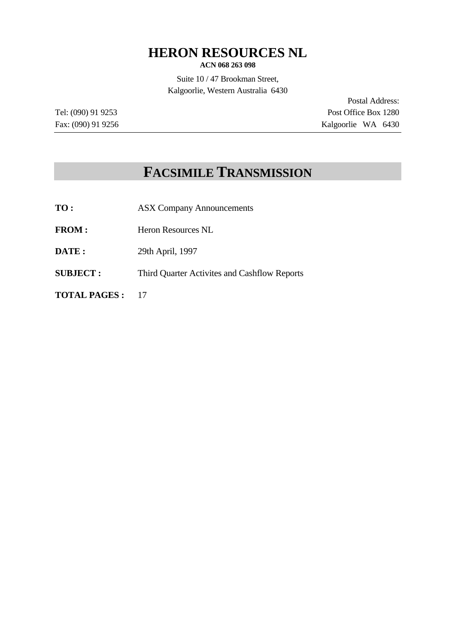# **HERON RESOURCES NL**

**ACN 068 263 098**

Suite 10 / 47 Brookman Street, Kalgoorlie, Western Australia 6430

Postal Address: Tel: (090) 91 9253 Post Office Box 1280 Fax: (090) 91 9256 Kalgoorlie WA 6430

# **FACSIMILE TRANSMISSION**

- **TO :** ASX Company Announcements
- FROM : Heron Resources NL
- **DATE :** 29th April, 1997
- **SUBJECT :** Third Quarter Activites and Cashflow Reports

**TOTAL PAGES :** 17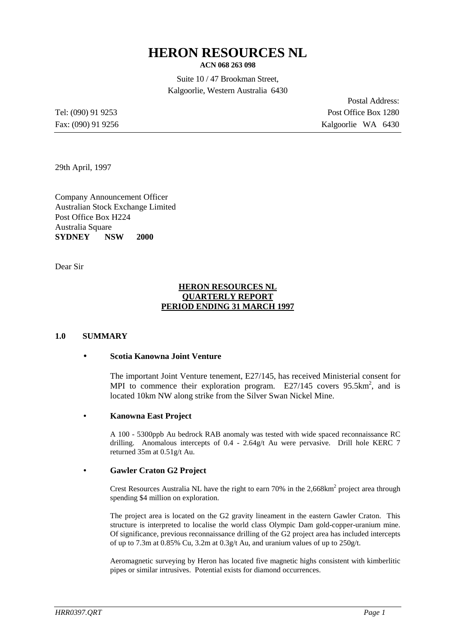# **HERON RESOURCES NL**

**ACN 068 263 098**

Suite 10 / 47 Brookman Street, Kalgoorlie, Western Australia 6430

Postal Address: Tel: (090) 91 9253 Post Office Box 1280 Fax: (090) 91 9256 Kalgoorlie WA 6430

29th April, 1997

Company Announcement Officer Australian Stock Exchange Limited Post Office Box H224 Australia Square **SYDNEY NSW 2000**

Dear Sir

#### **HERON RESOURCES NL QUARTERLY REPORT PERIOD ENDING 31 MARCH 1997**

#### **1.0 SUMMARY**

#### • **Scotia Kanowna Joint Venture**

The important Joint Venture tenement, E27/145, has received Ministerial consent for MPI to commence their exploration program.  $E27/145$  covers 95.5km<sup>2</sup>, and is located 10km NW along strike from the Silver Swan Nickel Mine.

#### • **Kanowna East Project**

A 100 - 5300ppb Au bedrock RAB anomaly was tested with wide spaced reconnaissance RC drilling. Anomalous intercepts of 0.4 - 2.64g/t Au were pervasive. Drill hole KERC 7 returned 35m at 0.51g/t Au.

#### • **Gawler Craton G2 Project**

Crest Resources Australia NL have the right to earn  $70\%$  in the  $2,668 \text{km}^2$  project area through spending \$4 million on exploration.

The project area is located on the G2 gravity lineament in the eastern Gawler Craton. This structure is interpreted to localise the world class Olympic Dam gold-copper-uranium mine. Of significance, previous reconnaissance drilling of the G2 project area has included intercepts of up to 7.3m at 0.85% Cu, 3.2m at 0.3g/t Au, and uranium values of up to 250g/t.

Aeromagnetic surveying by Heron has located five magnetic highs consistent with kimberlitic pipes or similar intrusives. Potential exists for diamond occurrences.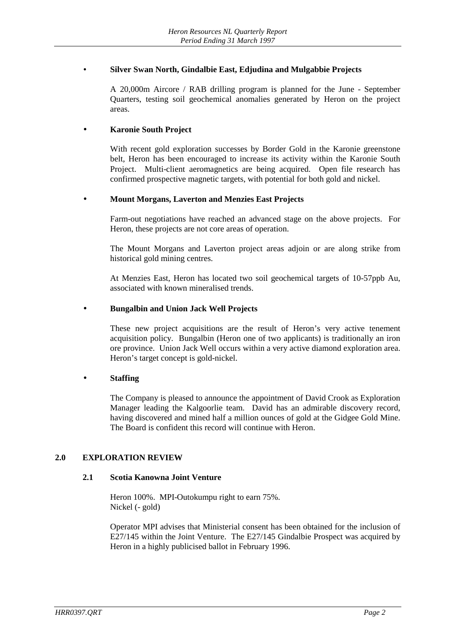# • **Silver Swan North, Gindalbie East, Edjudina and Mulgabbie Projects**

A 20,000m Aircore / RAB drilling program is planned for the June - September Quarters, testing soil geochemical anomalies generated by Heron on the project areas.

# • **Karonie South Project**

With recent gold exploration successes by Border Gold in the Karonie greenstone belt, Heron has been encouraged to increase its activity within the Karonie South Project. Multi-client aeromagnetics are being acquired. Open file research has confirmed prospective magnetic targets, with potential for both gold and nickel.

#### • **Mount Morgans, Laverton and Menzies East Projects**

Farm-out negotiations have reached an advanced stage on the above projects. For Heron, these projects are not core areas of operation.

The Mount Morgans and Laverton project areas adjoin or are along strike from historical gold mining centres.

At Menzies East, Heron has located two soil geochemical targets of 10-57ppb Au, associated with known mineralised trends.

#### • **Bungalbin and Union Jack Well Projects**

These new project acquisitions are the result of Heron's very active tenement acquisition policy. Bungalbin (Heron one of two applicants) is traditionally an iron ore province. Union Jack Well occurs within a very active diamond exploration area. Heron's target concept is gold-nickel.

# • **Staffing**

The Company is pleased to announce the appointment of David Crook as Exploration Manager leading the Kalgoorlie team. David has an admirable discovery record, having discovered and mined half a million ounces of gold at the Gidgee Gold Mine. The Board is confident this record will continue with Heron.

#### **2.0 EXPLORATION REVIEW**

#### **2.1 Scotia Kanowna Joint Venture**

Heron 100%. MPI-Outokumpu right to earn 75%. Nickel (- gold)

Operator MPI advises that Ministerial consent has been obtained for the inclusion of E27/145 within the Joint Venture. The E27/145 Gindalbie Prospect was acquired by Heron in a highly publicised ballot in February 1996.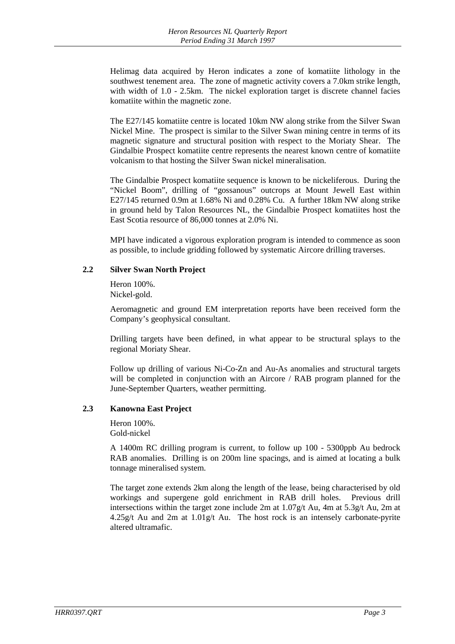Helimag data acquired by Heron indicates a zone of komatiite lithology in the southwest tenement area. The zone of magnetic activity covers a 7.0km strike length, with width of 1.0 - 2.5km. The nickel exploration target is discrete channel facies komatiite within the magnetic zone.

The E27/145 komatiite centre is located 10km NW along strike from the Silver Swan Nickel Mine. The prospect is similar to the Silver Swan mining centre in terms of its magnetic signature and structural position with respect to the Moriaty Shear. The Gindalbie Prospect komatiite centre represents the nearest known centre of komatiite volcanism to that hosting the Silver Swan nickel mineralisation.

The Gindalbie Prospect komatiite sequence is known to be nickeliferous. During the "Nickel Boom", drilling of "gossanous" outcrops at Mount Jewell East within E27/145 returned 0.9m at 1.68% Ni and 0.28% Cu. A further 18km NW along strike in ground held by Talon Resources NL, the Gindalbie Prospect komatiites host the East Scotia resource of 86,000 tonnes at 2.0% Ni.

MPI have indicated a vigorous exploration program is intended to commence as soon as possible, to include gridding followed by systematic Aircore drilling traverses.

# **2.2 Silver Swan North Project**

Heron 100%. Nickel-gold.

Aeromagnetic and ground EM interpretation reports have been received form the Company's geophysical consultant.

Drilling targets have been defined, in what appear to be structural splays to the regional Moriaty Shear.

Follow up drilling of various Ni-Co-Zn and Au-As anomalies and structural targets will be completed in conjunction with an Aircore / RAB program planned for the June-September Quarters, weather permitting.

# **2.3 Kanowna East Project**

Heron 100%. Gold-nickel

A 1400m RC drilling program is current, to follow up 100 - 5300ppb Au bedrock RAB anomalies. Drilling is on 200m line spacings, and is aimed at locating a bulk tonnage mineralised system.

The target zone extends 2km along the length of the lease, being characterised by old workings and supergene gold enrichment in RAB drill holes. Previous drill intersections within the target zone include 2m at 1.07g/t Au, 4m at 5.3g/t Au, 2m at  $4.25g/t$  Au and 2m at  $1.01g/t$  Au. The host rock is an intensely carbonate-pyrite altered ultramafic.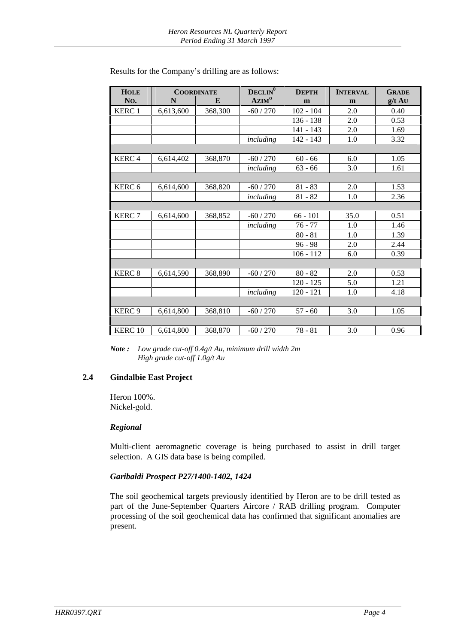| <b>HOLE</b>        |           | <b>COORDINATE</b> | DECLIN <sup>0</sup> | <b>DEPTH</b> | <b>INTERVAL</b> | <b>GRADE</b> |
|--------------------|-----------|-------------------|---------------------|--------------|-----------------|--------------|
| No.                | N         | E                 | AZIM <sup>o</sup>   | m            | m               | $g/t$ AU     |
| <b>KERC1</b>       | 6,613,600 | 368,300           | $-60/270$           | $102 - 104$  | 2.0             | 0.40         |
|                    |           |                   |                     | $136 - 138$  | 2.0             | 0.53         |
|                    |           |                   |                     | $141 - 143$  | 2.0             | 1.69         |
|                    |           |                   | including           | 142 - 143    | 1.0             | 3.32         |
|                    |           |                   |                     |              |                 |              |
| <b>KERC4</b>       | 6,614,402 | 368,870           | $-60/270$           | $60 - 66$    | 6.0             | 1.05         |
|                    |           |                   | including           | $63 - 66$    | 3.0             | 1.61         |
|                    |           |                   |                     |              |                 |              |
| KERC <sub>6</sub>  | 6,614,600 | 368,820           | $-60/270$           | $81 - 83$    | 2.0             | 1.53         |
|                    |           |                   | including           | $81 - 82$    | 1.0             | 2.36         |
|                    |           |                   |                     |              |                 |              |
| <b>KERC7</b>       | 6,614,600 | 368,852           | $-60/270$           | $66 - 101$   | 35.0            | 0.51         |
|                    |           |                   | including           | $76 - 77$    | 1.0             | 1.46         |
|                    |           |                   |                     | $80 - 81$    | 1.0             | 1.39         |
|                    |           |                   |                     | $96 - 98$    | 2.0             | 2.44         |
|                    |           |                   |                     | $106 - 112$  | 6.0             | 0.39         |
|                    |           |                   |                     |              |                 |              |
| <b>KERC 8</b>      | 6,614,590 | 368,890           | $-60/270$           | $80 - 82$    | 2.0             | 0.53         |
|                    |           |                   |                     | $120 - 125$  | 5.0             | 1.21         |
|                    |           |                   | including           | $120 - 121$  | 1.0             | 4.18         |
|                    |           |                   |                     |              |                 |              |
| KERC <sub>9</sub>  | 6,614,800 | 368,810           | $-60/270$           | $57 - 60$    | 3.0             | 1.05         |
|                    |           |                   |                     |              |                 |              |
| KERC <sub>10</sub> | 6,614,800 | 368,870           | $-60/270$           | $78 - 81$    | 3.0             | 0.96         |

Results for the Company's drilling are as follows:

*Note : Low grade cut-off 0.4g/t Au, minimum drill width 2m High grade cut-off 1.0g/t Au*

#### **2.4 Gindalbie East Project**

Heron 100%. Nickel-gold.

#### *Regional*

Multi-client aeromagnetic coverage is being purchased to assist in drill target selection. A GIS data base is being compiled.

# *Garibaldi Prospect P27/1400-1402, 1424*

The soil geochemical targets previously identified by Heron are to be drill tested as part of the June-September Quarters Aircore / RAB drilling program. Computer processing of the soil geochemical data has confirmed that significant anomalies are present.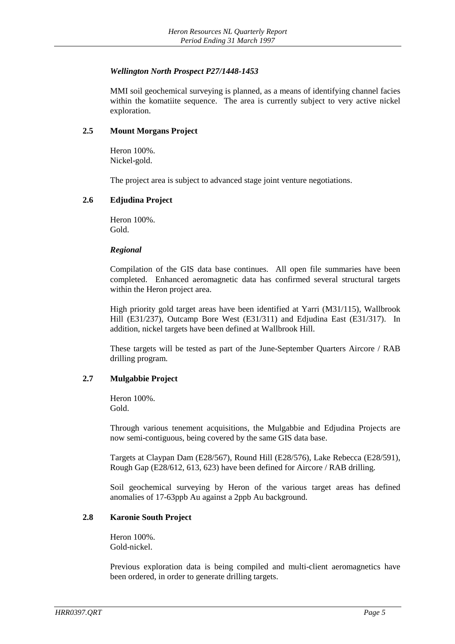# *Wellington North Prospect P27/1448-1453*

MMI soil geochemical surveying is planned, as a means of identifying channel facies within the komatiite sequence. The area is currently subject to very active nickel exploration.

# **2.5 Mount Morgans Project**

Heron 100%. Nickel-gold.

The project area is subject to advanced stage joint venture negotiations.

#### **2.6 Edjudina Project**

Heron 100%. Gold.

#### *Regional*

Compilation of the GIS data base continues. All open file summaries have been completed. Enhanced aeromagnetic data has confirmed several structural targets within the Heron project area.

High priority gold target areas have been identified at Yarri (M31/115), Wallbrook Hill (E31/237), Outcamp Bore West (E31/311) and Edjudina East (E31/317). In addition, nickel targets have been defined at Wallbrook Hill.

These targets will be tested as part of the June-September Quarters Aircore / RAB drilling program.

# **2.7 Mulgabbie Project**

Heron 100%. Gold.

Through various tenement acquisitions, the Mulgabbie and Edjudina Projects are now semi-contiguous, being covered by the same GIS data base.

Targets at Claypan Dam (E28/567), Round Hill (E28/576), Lake Rebecca (E28/591), Rough Gap (E28/612, 613, 623) have been defined for Aircore / RAB drilling.

Soil geochemical surveying by Heron of the various target areas has defined anomalies of 17-63ppb Au against a 2ppb Au background.

# **2.8 Karonie South Project**

Heron 100%. Gold-nickel.

Previous exploration data is being compiled and multi-client aeromagnetics have been ordered, in order to generate drilling targets.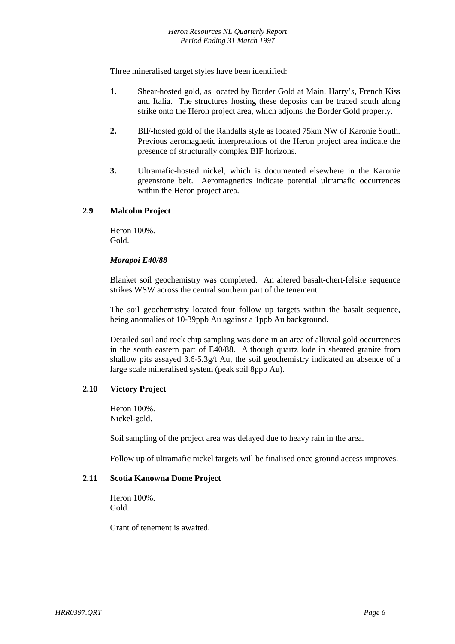Three mineralised target styles have been identified:

- **1.** Shear-hosted gold, as located by Border Gold at Main, Harry's, French Kiss and Italia. The structures hosting these deposits can be traced south along strike onto the Heron project area, which adjoins the Border Gold property.
- **2.** BIF-hosted gold of the Randalls style as located 75km NW of Karonie South. Previous aeromagnetic interpretations of the Heron project area indicate the presence of structurally complex BIF horizons.
- **3.** Ultramafic-hosted nickel, which is documented elsewhere in the Karonie greenstone belt. Aeromagnetics indicate potential ultramafic occurrences within the Heron project area.

# **2.9 Malcolm Project**

Heron 100%. Gold.

# *Morapoi E40/88*

Blanket soil geochemistry was completed. An altered basalt-chert-felsite sequence strikes WSW across the central southern part of the tenement.

The soil geochemistry located four follow up targets within the basalt sequence, being anomalies of 10-39ppb Au against a 1ppb Au background.

Detailed soil and rock chip sampling was done in an area of alluvial gold occurrences in the south eastern part of E40/88. Although quartz lode in sheared granite from shallow pits assayed 3.6-5.3g/t Au, the soil geochemistry indicated an absence of a large scale mineralised system (peak soil 8ppb Au).

# **2.10 Victory Project**

Heron 100%. Nickel-gold.

Soil sampling of the project area was delayed due to heavy rain in the area.

Follow up of ultramafic nickel targets will be finalised once ground access improves.

# **2.11 Scotia Kanowna Dome Project**

Heron 100%. Gold.

Grant of tenement is awaited.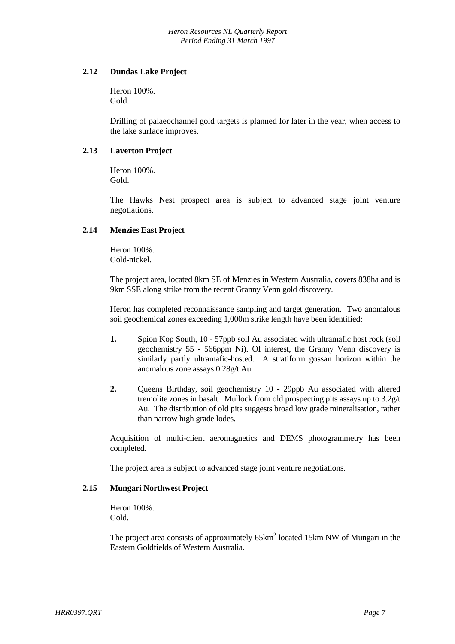# **2.12 Dundas Lake Project**

Heron 100%. Gold.

Drilling of palaeochannel gold targets is planned for later in the year, when access to the lake surface improves.

# **2.13 Laverton Project**

Heron 100%. Gold.

The Hawks Nest prospect area is subject to advanced stage joint venture negotiations.

# **2.14 Menzies East Project**

Heron 100%. Gold-nickel.

The project area, located 8km SE of Menzies in Western Australia, covers 838ha and is 9km SSE along strike from the recent Granny Venn gold discovery.

Heron has completed reconnaissance sampling and target generation. Two anomalous soil geochemical zones exceeding 1,000m strike length have been identified:

- **1.** Spion Kop South, 10 57ppb soil Au associated with ultramafic host rock (soil geochemistry 55 - 566ppm Ni). Of interest, the Granny Venn discovery is similarly partly ultramafic-hosted. A stratiform gossan horizon within the anomalous zone assays 0.28g/t Au.
- **2.** Queens Birthday, soil geochemistry 10 29ppb Au associated with altered tremolite zones in basalt. Mullock from old prospecting pits assays up to 3.2g/t Au. The distribution of old pits suggests broad low grade mineralisation, rather than narrow high grade lodes.

Acquisition of multi-client aeromagnetics and DEMS photogrammetry has been completed.

The project area is subject to advanced stage joint venture negotiations.

# **2.15 Mungari Northwest Project**

Heron 100%. Gold.

The project area consists of approximately  $65 \text{km}^2$  located 15km NW of Mungari in the Eastern Goldfields of Western Australia.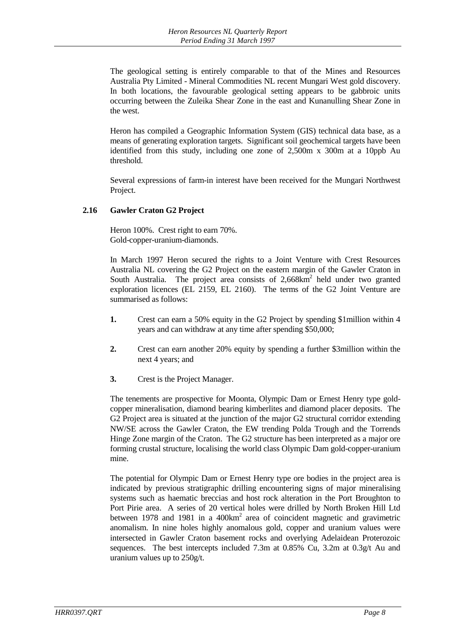The geological setting is entirely comparable to that of the Mines and Resources Australia Pty Limited - Mineral Commodities NL recent Mungari West gold discovery. In both locations, the favourable geological setting appears to be gabbroic units occurring between the Zuleika Shear Zone in the east and Kunanulling Shear Zone in the west.

Heron has compiled a Geographic Information System (GIS) technical data base, as a means of generating exploration targets. Significant soil geochemical targets have been identified from this study, including one zone of 2,500m x 300m at a 10ppb Au threshold.

Several expressions of farm-in interest have been received for the Mungari Northwest Project.

# **2.16 Gawler Craton G2 Project**

Heron 100%. Crest right to earn 70%. Gold-copper-uranium-diamonds.

In March 1997 Heron secured the rights to a Joint Venture with Crest Resources Australia NL covering the G2 Project on the eastern margin of the Gawler Craton in South Australia. The project area consists of  $2,668 \text{km}^2$  held under two granted exploration licences (EL 2159, EL 2160). The terms of the G2 Joint Venture are summarised as follows:

- **1.** Crest can earn a 50% equity in the G2 Project by spending \$1million within 4 years and can withdraw at any time after spending \$50,000;
- **2.** Crest can earn another 20% equity by spending a further \$3million within the next 4 years; and
- **3.** Crest is the Project Manager.

The tenements are prospective for Moonta, Olympic Dam or Ernest Henry type goldcopper mineralisation, diamond bearing kimberlites and diamond placer deposits. The G2 Project area is situated at the junction of the major G2 structural corridor extending NW/SE across the Gawler Craton, the EW trending Polda Trough and the Torrends Hinge Zone margin of the Craton. The G2 structure has been interpreted as a major ore forming crustal structure, localising the world class Olympic Dam gold-copper-uranium mine.

The potential for Olympic Dam or Ernest Henry type ore bodies in the project area is indicated by previous stratigraphic drilling encountering signs of major mineralising systems such as haematic breccias and host rock alteration in the Port Broughton to Port Pirie area. A series of 20 vertical holes were drilled by North Broken Hill Ltd between 1978 and 1981 in a  $400 \text{km}^2$  area of coincident magnetic and gravimetric anomalism. In nine holes highly anomalous gold, copper and uranium values were intersected in Gawler Craton basement rocks and overlying Adelaidean Proterozoic sequences. The best intercepts included 7.3m at 0.85% Cu, 3.2m at 0.3g/t Au and uranium values up to 250g/t.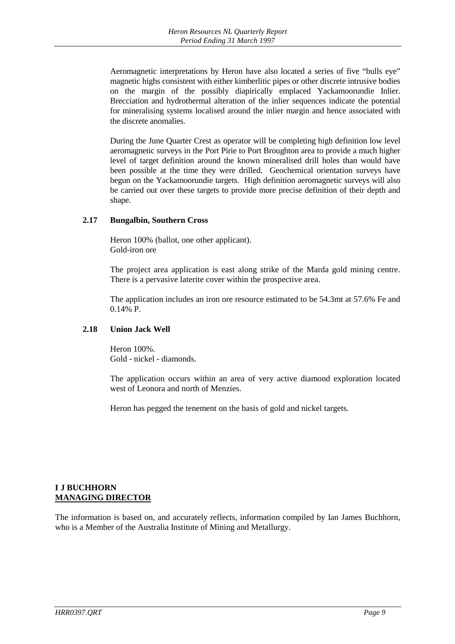Aeromagnetic interpretations by Heron have also located a series of five "bulls eye" magnetic highs consistent with either kimberlitic pipes or other discrete intrusive bodies on the margin of the possibly diapirically emplaced Yackamoorundie Inlier. Brecciation and hydrothermal alteration of the inlier sequences indicate the potential for mineralising systems localised around the inlier margin and hence associated with the discrete anomalies.

During the June Quarter Crest as operator will be completing high definition low level aeromagnetic surveys in the Port Pirie to Port Broughton area to provide a much higher level of target definition around the known mineralised drill holes than would have been possible at the time they were drilled. Geochemical orientation surveys have begun on the Yackamoorundie targets. High definition aeromagnetic surveys will also be carried out over these targets to provide more precise definition of their depth and shape.

# **2.17 Bungalbin, Southern Cross**

Heron 100% (ballot, one other applicant). Gold-iron ore

The project area application is east along strike of the Marda gold mining centre. There is a pervasive laterite cover within the prospective area.

The application includes an iron ore resource estimated to be 54.3mt at 57.6% Fe and 0.14% P.

#### **2.18 Union Jack Well**

Heron 100%. Gold - nickel - diamonds.

The application occurs within an area of very active diamond exploration located west of Leonora and north of Menzies.

Heron has pegged the tenement on the basis of gold and nickel targets.

#### **I J BUCHHORN MANAGING DIRECTOR**

The information is based on, and accurately reflects, information compiled by Ian James Buchhorn, who is a Member of the Australia Institute of Mining and Metallurgy.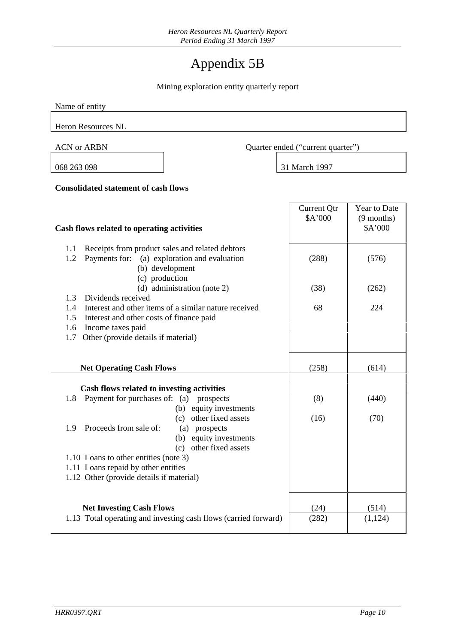# Appendix 5B

Mining exploration entity quarterly report

| Name of entity                                                                                                                                                                                                                                                                                                                                                                        |                                   |                                                |  |
|---------------------------------------------------------------------------------------------------------------------------------------------------------------------------------------------------------------------------------------------------------------------------------------------------------------------------------------------------------------------------------------|-----------------------------------|------------------------------------------------|--|
| <b>Heron Resources NL</b>                                                                                                                                                                                                                                                                                                                                                             |                                   |                                                |  |
| <b>ACN or ARBN</b>                                                                                                                                                                                                                                                                                                                                                                    | Quarter ended ("current quarter") |                                                |  |
| 068 263 098                                                                                                                                                                                                                                                                                                                                                                           | 31 March 1997                     |                                                |  |
| <b>Consolidated statement of cash flows</b>                                                                                                                                                                                                                                                                                                                                           |                                   |                                                |  |
| Cash flows related to operating activities                                                                                                                                                                                                                                                                                                                                            | <b>Current Qtr</b><br>\$A'000     | <b>Year to Date</b><br>$(9$ months)<br>\$A'000 |  |
| Receipts from product sales and related debtors<br>1.1<br>Payments for: (a) exploration and evaluation<br>1.2<br>(b) development                                                                                                                                                                                                                                                      | (288)                             | (576)                                          |  |
| (c) production<br>(d) administration (note 2)                                                                                                                                                                                                                                                                                                                                         | (38)                              | (262)                                          |  |
| Dividends received<br>1.3<br>Interest and other items of a similar nature received<br>1.4<br>Interest and other costs of finance paid<br>1.5<br>Income taxes paid<br>1.6<br>Other (provide details if material)<br>1.7                                                                                                                                                                | 68                                | 224                                            |  |
| <b>Net Operating Cash Flows</b>                                                                                                                                                                                                                                                                                                                                                       | (258)                             | (614)                                          |  |
| Cash flows related to investing activities<br>Payment for purchases of: (a)<br>1.8<br>prospects<br>(b) equity investments<br>(c) other fixed assets<br>Proceeds from sale of:<br>1.9<br>(a) prospects<br>(b) equity investments<br>(c) other fixed assets<br>1.10 Loans to other entities (note 3)<br>1.11 Loans repaid by other entities<br>1.12 Other (provide details if material) | (8)<br>(16)                       | (440)<br>(70)                                  |  |
| <b>Net Investing Cash Flows</b><br>1.13 Total operating and investing cash flows (carried forward)                                                                                                                                                                                                                                                                                    | (24)<br>(282)                     | (514)<br>(1,124)                               |  |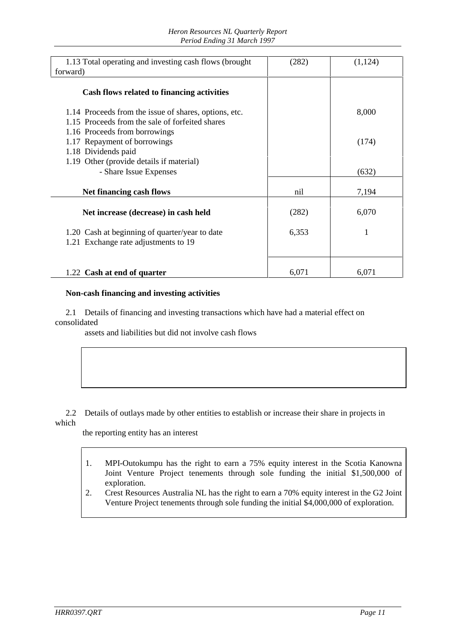| 1.13 Total operating and investing cash flows (brought)<br>forward)                                      | (282) | (1, 124) |
|----------------------------------------------------------------------------------------------------------|-------|----------|
| Cash flows related to financing activities                                                               |       |          |
| 1.14 Proceeds from the issue of shares, options, etc.<br>1.15 Proceeds from the sale of forfeited shares |       | 8,000    |
| 1.16 Proceeds from borrowings<br>1.17 Repayment of borrowings<br>1.18 Dividends paid                     |       | (174)    |
| 1.19 Other (provide details if material)<br>- Share Issue Expenses                                       |       | (632)    |
| <b>Net financing cash flows</b>                                                                          | nil   | 7,194    |
| Net increase (decrease) in cash held                                                                     | (282) | 6,070    |
| 1.20 Cash at beginning of quarter/year to date<br>1.21 Exchange rate adjustments to 19                   | 6,353 | 1        |
| 1.22 Cash at end of quarter                                                                              | 6,071 | 6,071    |

#### **Non-cash financing and investing activities**

 2.1 Details of financing and investing transactions which have had a material effect on consolidated

assets and liabilities but did not involve cash flows

 2.2 Details of outlays made by other entities to establish or increase their share in projects in which

the reporting entity has an interest

- 1. MPI-Outokumpu has the right to earn a 75% equity interest in the Scotia Kanowna Joint Venture Project tenements through sole funding the initial \$1,500,000 of exploration.
- 2. Crest Resources Australia NL has the right to earn a 70% equity interest in the G2 Joint Venture Project tenements through sole funding the initial \$4,000,000 of exploration.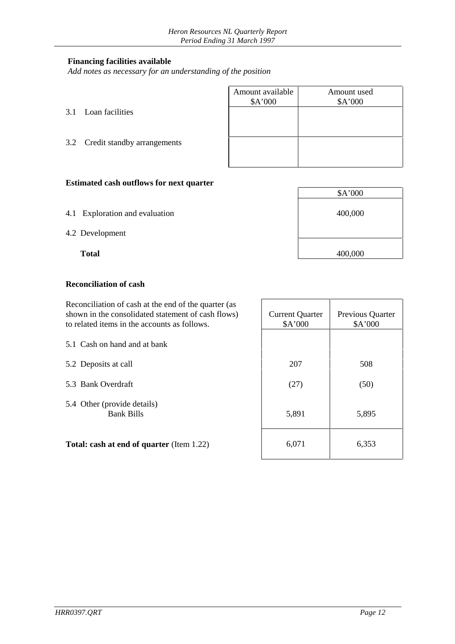#### **Financing facilities available**

*Add notes as necessary for an understanding of the position*

|                                 | Amount available<br>A'000 | Amount used<br>\$A'000 |
|---------------------------------|---------------------------|------------------------|
| 3.1 Loan facilities             |                           |                        |
| 3.2 Credit standby arrangements |                           |                        |
|                                 |                           |                        |

\$A'000

# **Estimated cash outflows for next quarter**

- 4.1 Exploration and evaluation 400,000
- 4.2 Development

**Total** 400,000

#### **Reconciliation of cash**

 Reconciliation of cash at the end of the quarter (as shown in the consolidated statement of cash flows) to related items in the accounts as follows.

5.1 Cash on hand and at bank

5.2 Deposits at call

- 5.3 Bank Overdraft
- 5.4 Other (provide details) Bank Bills

**Total: cash at end of quarter** (Item 1.22)

| <b>Current Quarter</b><br>\$A'000 | Previous Quarter<br>\$A'000 |  |  |
|-----------------------------------|-----------------------------|--|--|
|                                   |                             |  |  |
| 207                               | 508                         |  |  |
| (27)                              | (50)                        |  |  |
| 5,891                             | 5,895                       |  |  |
| 6,071                             | 6,353                       |  |  |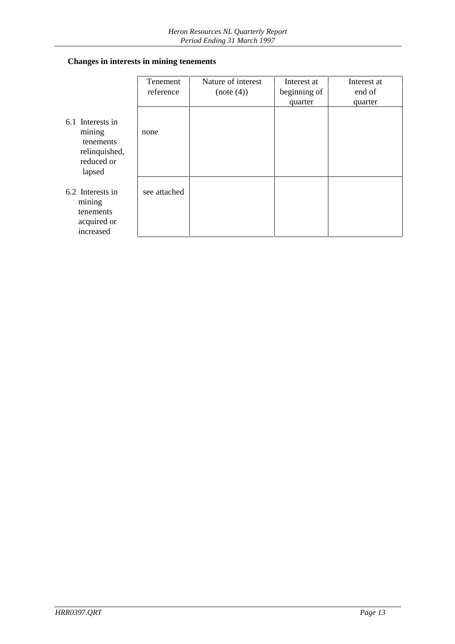# **Changes in interests in mining tenements**

|                                                                                  | Tenement     | Nature of interest | Interest at  | Interest at |
|----------------------------------------------------------------------------------|--------------|--------------------|--------------|-------------|
|                                                                                  | reference    | (note(4))          | beginning of | end of      |
|                                                                                  |              |                    | quarter      | quarter     |
| 6.1 Interests in<br>mining<br>tenements<br>relinquished,<br>reduced or<br>lapsed | none         |                    |              |             |
| 6.2 Interests in<br>mining<br>tenements<br>acquired or<br>increased              | see attached |                    |              |             |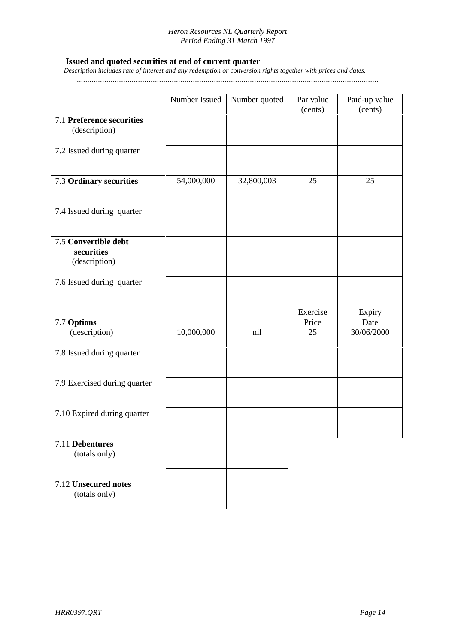#### **Issued and quoted securities at end of current quarter**

 *Description includes rate of interest and any redemption or conversion rights together with prices and dates.*

...............................................................................................................................................

|                                                     | Number Issued | Number quoted | Par value<br>(cents)    | Paid-up value<br>(cents)     |
|-----------------------------------------------------|---------------|---------------|-------------------------|------------------------------|
| 7.1 Preference securities<br>(description)          |               |               |                         |                              |
| 7.2 Issued during quarter                           |               |               |                         |                              |
| 7.3 Ordinary securities                             | 54,000,000    | 32,800,003    | 25                      | 25                           |
| 7.4 Issued during quarter                           |               |               |                         |                              |
| 7.5 Convertible debt<br>securities<br>(description) |               |               |                         |                              |
| 7.6 Issued during quarter                           |               |               |                         |                              |
| 7.7 Options<br>(description)                        | 10,000,000    | nil           | Exercise<br>Price<br>25 | Expiry<br>Date<br>30/06/2000 |
| 7.8 Issued during quarter                           |               |               |                         |                              |
| 7.9 Exercised during quarter                        |               |               |                         |                              |
| 7.10 Expired during quarter                         |               |               |                         |                              |
| 7.11 Debentures<br>(totals only)                    |               |               |                         |                              |
| 7.12 Unsecured notes<br>(totals only)               |               |               |                         |                              |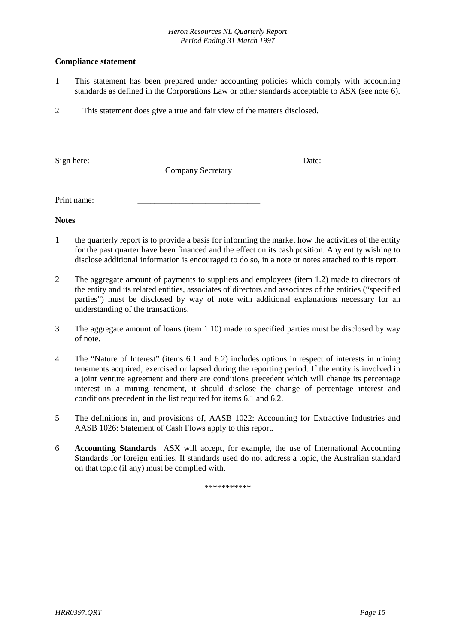#### **Compliance statement**

- 1 This statement has been prepared under accounting policies which comply with accounting standards as defined in the Corporations Law or other standards acceptable to ASX (see note 6).
- 2 This statement does give a true and fair view of the matters disclosed.

Sign here: \_\_\_\_\_\_\_\_\_\_\_\_\_\_\_\_\_\_\_\_\_\_\_\_\_\_\_\_\_ Date: \_\_\_\_\_\_\_\_\_\_\_\_

Company Secretary

Print name:

**Notes**

- 1 the quarterly report is to provide a basis for informing the market how the activities of the entity for the past quarter have been financed and the effect on its cash position. Any entity wishing to disclose additional information is encouraged to do so, in a note or notes attached to this report.
- 2 The aggregate amount of payments to suppliers and employees (item 1.2) made to directors of the entity and its related entities, associates of directors and associates of the entities ("specified parties") must be disclosed by way of note with additional explanations necessary for an understanding of the transactions.
- 3 The aggregate amount of loans (item 1.10) made to specified parties must be disclosed by way of note.
- 4 The "Nature of Interest" (items 6.1 and 6.2) includes options in respect of interests in mining tenements acquired, exercised or lapsed during the reporting period. If the entity is involved in a joint venture agreement and there are conditions precedent which will change its percentage interest in a mining tenement, it should disclose the change of percentage interest and conditions precedent in the list required for items 6.1 and 6.2.
- 5 The definitions in, and provisions of, AASB 1022: Accounting for Extractive Industries and AASB 1026: Statement of Cash Flows apply to this report.
- 6 **Accounting Standards** ASX will accept, for example, the use of International Accounting Standards for foreign entities. If standards used do not address a topic, the Australian standard on that topic (if any) must be complied with.

\*\*\*\*\*\*\*\*\*\*\*